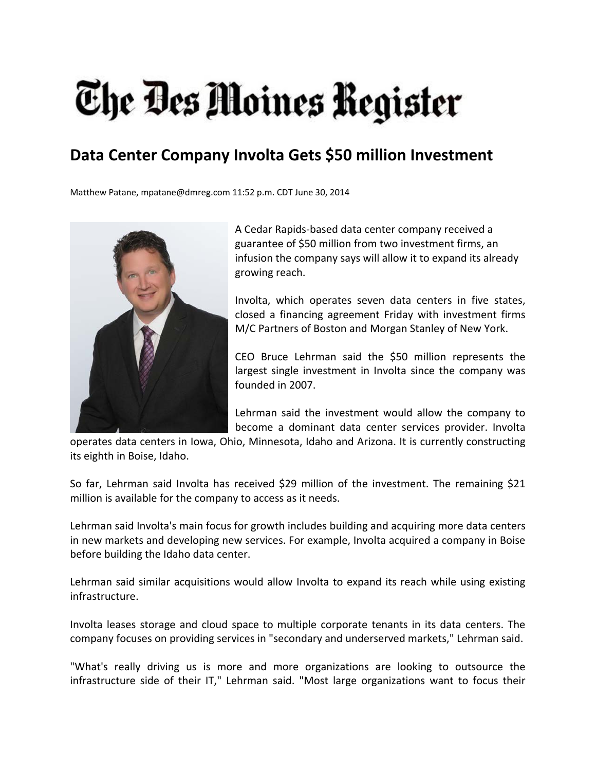## The Des Moines Register

## **Data Center Company Involta Gets \$50 million Investment**

Matthew Patane, mpatane@dmreg.com 11:52 p.m. CDT June 30, 2014



A Cedar Rapids‐based data center company received a guarantee of \$50 million from two investment firms, an infusion the company says will allow it to expand its already growing reach.

Involta, which operates seven data centers in five states, closed a financing agreement Friday with investment firms M/C Partners of Boston and Morgan Stanley of New York.

CEO Bruce Lehrman said the \$50 million represents the largest single investment in Involta since the company was founded in 2007.

Lehrman said the investment would allow the company to become a dominant data center services provider. Involta

operates data centers in Iowa, Ohio, Minnesota, Idaho and Arizona. It is currently constructing its eighth in Boise, Idaho.

So far, Lehrman said Involta has received \$29 million of the investment. The remaining \$21 million is available for the company to access as it needs.

Lehrman said Involta's main focus for growth includes building and acquiring more data centers in new markets and developing new services. For example, Involta acquired a company in Boise before building the Idaho data center.

Lehrman said similar acquisitions would allow Involta to expand its reach while using existing infrastructure.

Involta leases storage and cloud space to multiple corporate tenants in its data centers. The company focuses on providing services in "secondary and underserved markets," Lehrman said.

"What's really driving us is more and more organizations are looking to outsource the infrastructure side of their IT," Lehrman said. "Most large organizations want to focus their